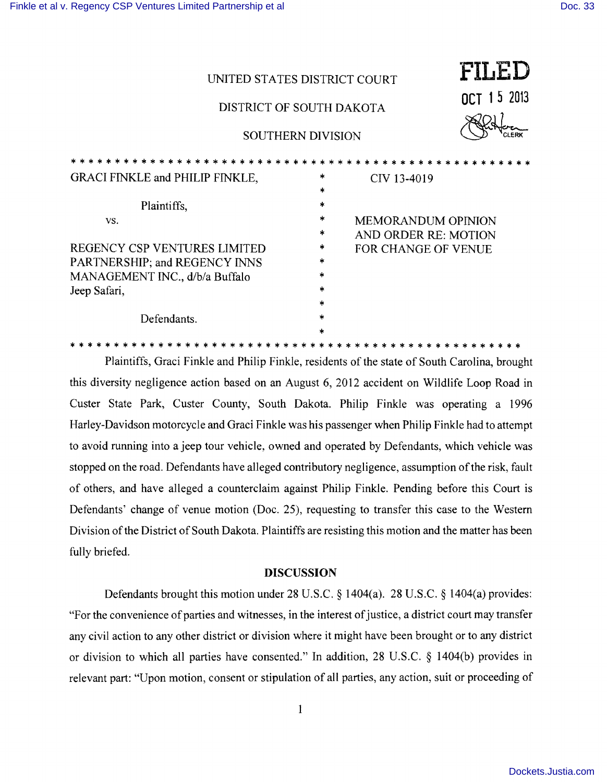| UNITED STATES DISTRICT COURT<br>DISTRICT OF SOUTH DAKOTA<br><b>SOUTHERN DIVISION</b>                                   |                                                           | FILED<br>OCT 15 2013                                                            |
|------------------------------------------------------------------------------------------------------------------------|-----------------------------------------------------------|---------------------------------------------------------------------------------|
|                                                                                                                        |                                                           |                                                                                 |
| GRACI FINKLE and PHILIP FINKLE,                                                                                        | *<br>$\ast$                                               | CIV 13-4019                                                                     |
| Plaintiffs,                                                                                                            | ×                                                         |                                                                                 |
| VS.<br>REGENCY CSP VENTURES LIMITED<br>PARTNERSHIP; and REGENCY INNS<br>MANAGEMENT INC., d/b/a Buffalo<br>Jeep Safari, | *<br>*<br>$\ast$<br>$\ast$<br>$\ast$<br>$\ast$<br>$\star$ | <b>MEMORANDUM OPINION</b><br>AND ORDER RE: MOTION<br><b>FOR CHANGE OF VENUE</b> |
| Defendants.                                                                                                            | $\ast$<br>×.                                              |                                                                                 |

Plaintiffs, Graci Finkle and Philip Finkle, residents of the state of South Carolina, brought this diversity negligence action based on an August 6, 2012 accident on Wildlife Loop Road in Custer State Park, Custer County, South Dakota. Philip Finkle was operating a 1996 Harley-Davidson motorcycle and Graci Finkle was his passenger when Philip Finkle had to attempt to avoid running into a jeep tour vehicle, owned and operated by Defendants, which vehicle was stopped on the road. Defendants have alleged contributory negligence, assumption of the risk, fault of others, and have alleged a counterclaim against Philip Finkle. Pending before this Court is Defendants' change of venue motion (Doc. 25), requesting to transfer this case to the Western Division of the District of South Dakota. Plaintiffs are resisting this motion and the matter has been fully briefed.

\* \* \* \* \* \* \* \* \* \* \* \* \* \* \* \* \* \* \* \* \* \* \* \* \* \* \* \* \* \* \* \* \* \* \* \* \* \* \* \* \* \* \* \* \* \* \* \* \* \* \*

## **DISCUSSION**

Defendants brought this motion under 28 U.S.C. § 1404(a). 28 U.S.C. § 1404(a) provides: "For the convenience of parties and witnesses, in the interest of justice, a district court may transfer any civil action to any other district or division where it might have been brought or to any district or division to which all parties have consented." In addition, 28 U.S.C. § 1404(b) provides in relevant part: "Upon motion, consent or stipulation of all parties, any action, suit or proceeding of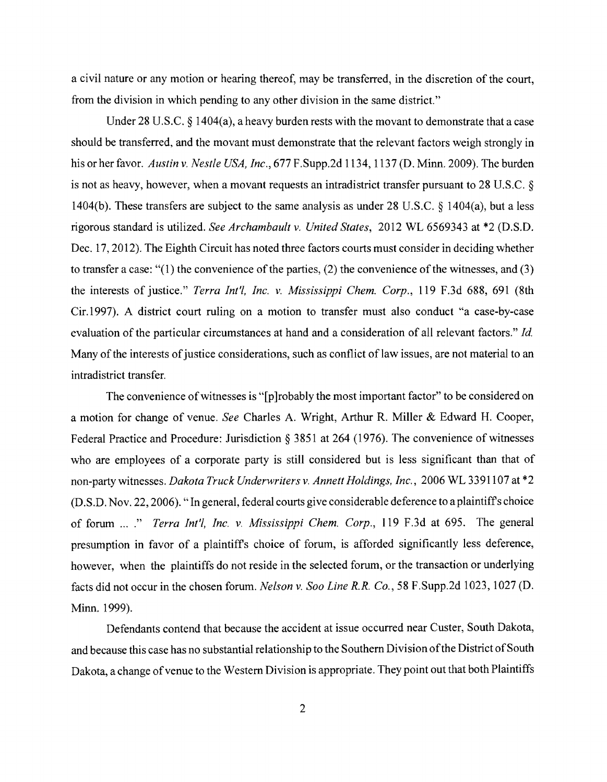a civil nature or any motion or hearing thereof, may be transferred, in the discretion of the court, from the division in which pending to any other division in the same district."

Under 28 U.S.C. § 1404(a), a heavy burden rests with the movant to demonstrate that a case should be transferred, and the movant must demonstrate that the relevant factors weigh strongly in his or her favor. *Austin* v. *Nestle USA, Inc.,* 677 F.Supp.2d 1134,1137 (D. Minn. 2009). The burden is not as heavy, however, when a movant requests an intradistrict transfer pursuant to 28 U.S.C. § 1404(b). These transfers are subject to the same analysis as under 28 U.S.C. § 1404(a), but a less rigorous standard is utilized. *See Archambault* v. *United States,* 2012 WL 6569343 at \*2 (D.S.D. Dec. 17,2012). The Eighth Circuit has noted three factors courts must consider in deciding whether to transfer a case: " $(1)$  the convenience of the parties,  $(2)$  the convenience of the witnesses, and  $(3)$ the interests of justice." *Terra Int'l, Inc.* v. *Mississippi Chern. Corp.,* 119 F.3d 688, 691 (8th Cir.1997). A district court ruling on a motion to transfer must also conduct "a case-by-case evaluation of the particular circumstances at hand and a consideration of all relevant factors." *Id.* Many of the interests of justice considerations, such as conflict of law issues, are not material to an intradistrict transfer.

The convenience of witnesses is "[p]robably the most important factor" to be considered on a motion for change of venue. *See* Charles A. Wright, Arthur R. Miller & Edward H. Cooper, Federal Practice and Procedure: Jurisdiction § 3851 at 264 (1976). The convenience of witnesses who are employees of a corporate party is still considered but is less significant than that of non-party witnesses. *Dakota Truck Underwriters* v. *Annett Holdings, Inc.,* 2006 WL 3391107 at \*2 (D.S.D. Nov. 22, 2006). "In general, federal courts give considerable deference to a plaintiffs choice of forum ...." *Terra Int'!, Inc.* v. *Mississippi Chern. Corp.,* 119 F.3d at 695. The general presumption in favor of a plaintiffs choice of forum, is afforded significantly less deference, however, when the plaintiffs do not reside in the selected forum, or the transaction or underlying facts did not occur in the chosen forum. *Nelson* v. *Soo Line R.R. Co.,* 58 F.Supp.2d 1023, 1027 (D. Minn. 1999).

Defendants contend that because the accident at issue occurred near Custer, South Dakota, and because this case has no substantial relationship to the Southern Division of the District of South Dakota, a change of venue to the Western Division is appropriate. They point out that both Plaintiffs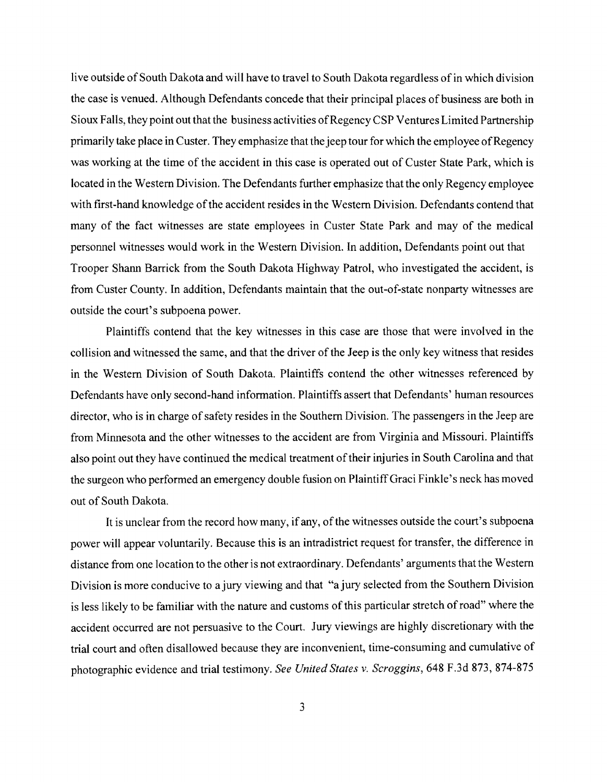live outside of South Dakota and will have to travel to South Dakota regardless of in which division the case is venued. Although Defendants concede that their principal places of business are both in Sioux Falls, they point out that the business activities ofRegency CSP Ventures Limited Partnership primarily take place in Custer. They emphasize that the jeep tour for which the employee of Regency was working at the time of the accident in this case is operated out of Custer State Park, which is located in the Western Division. The Defendants further emphasize that the only Regency employee with first-hand knowledge of the accident resides in the Western Division. Defendants contend that many of the fact witnesses are state employees in Custer State Park and may of the medical personnel witnesses would work in the Western Division. In addition, Defendants point out that Trooper Shann Barrick from the South Dakota Highway Patrol, who investigated the accident, is from Custer County. In addition, Defendants maintain that the out-of-state nonparty witnesses are outside the court's subpoena power.

Plaintiffs contend that the key witnesses in this case are those that were involved in the collision and witnessed the same, and that the driver of the Jeep is the only key witness that resides in the Western Division of South Dakota. Plaintiffs contend the other witnesses referenced by Defendants have only second-hand information. Plaintiffs assert that Defendants' human resources director, who is in charge of safety resides in the Southern Division. The passengers in the Jeep are from Minnesota and the other witnesses to the accident are from Virginia and Missouri. Plaintiffs also point out they have continued the medical treatment of their injuries in South Carolina and that the surgeon who performed an emergency double fusion on Plaintiff Graci Finkle's neck has moved out of South Dakota.

It is unclear from the record how many, if any, of the witnesses outside the court's subpoena power will appear voluntarily. Because this is an intradistrict request for transfer, the difference in distance from one location to the other is not extraordinary. Defendants' arguments that the Western Division is more conducive to a jury viewing and that "a jury selected from the Southern Division is less likely to be familiar with the nature and customs of this particular stretch of road" where the accident occurred are not persuasive to the Court. Jury viewings are highly discretionary with the trial court and often disallowed because they are inconvenient, time-consuming and cumulative of photographic evidence and trial testimony. *See United States* v. *Scroggins,* 648 F.3d 873, 874-875